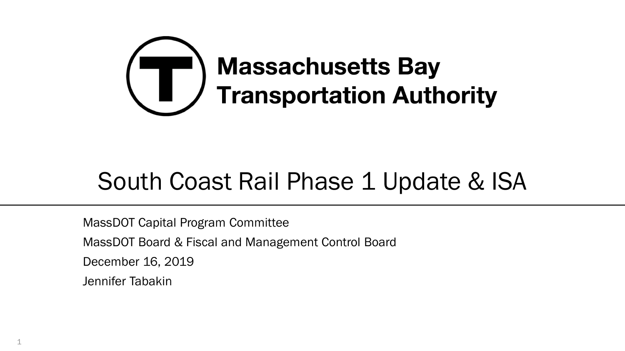

# South Coast Rail Phase 1 Update & ISA

MassDOT Capital Program Committee MassDOT Board & Fiscal and Management Control Board December 16, 2019 Jennifer Tabakin

1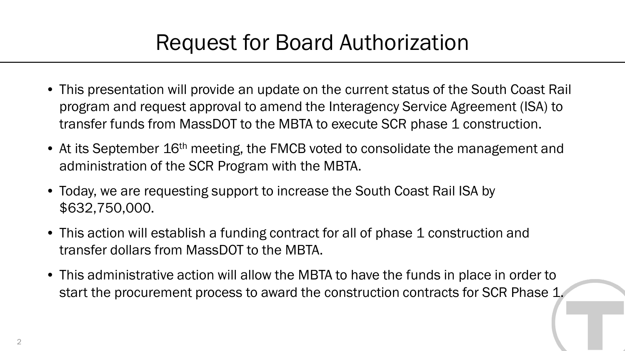### Request for Board Authorization

- This presentation will provide an update on the current status of the South Coast Rail program and request approval to amend the Interagency Service Agreement (ISA) to transfer funds from MassDOT to the MBTA to execute SCR phase 1 construction.
- At its September 16<sup>th</sup> meeting, the FMCB voted to consolidate the management and administration of the SCR Program with the MBTA.
- Today, we are requesting support to increase the South Coast Rail ISA by \$632,750,000.
- This action will establish a funding contract for all of phase 1 construction and transfer dollars from MassDOT to the MBTA.
- This administrative action will allow the MBTA to have the funds in place in order to start the procurement process to award the construction contracts for SCR Phase 1.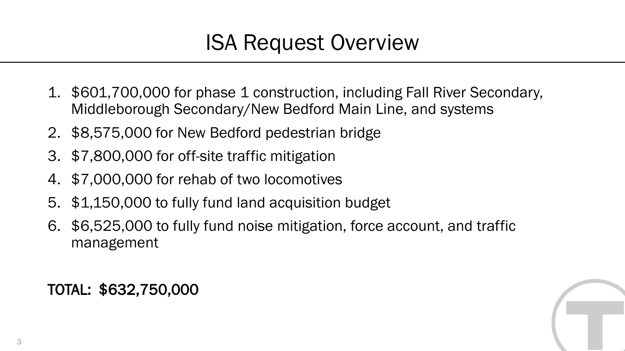### ISA Request Overview

- 1. \$601,700,000 for phase 1 construction, including Fall River Secondary, Middleborough Secondary/New Bedford Main Line, and systems
- 2. \$8,575,000 for New Bedford pedestrian bridge
- 3. \$7,800,000 for off-site traffic mitigation
- 4. \$7,000,000 for rehab of two locomotives
- 5. \$1,150,000 to fully fund land acquisition budget
- 6. \$6,525,000 to fully fund noise mitigation, force account, and traffic management

TOTAL: \$632,750,000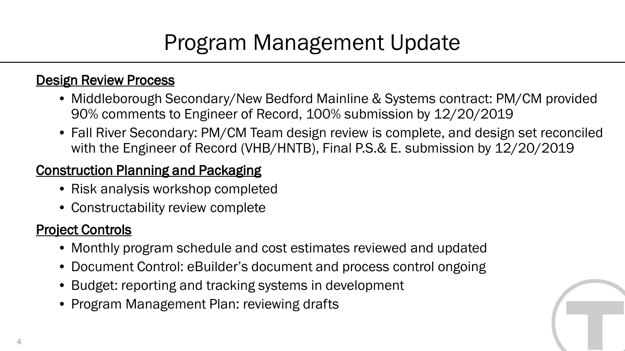### Program Management Update

#### Design Review Process

- Middleborough Secondary/New Bedford Mainline & Systems contract: PM/CM provided 90% comments to Engineer of Record, 100% submission by 12/20/2019
- Fall River Secondary: PM/CM Team design review is complete, and design set reconciled with the Engineer of Record (VHB/HNTB), Final P.S.& E. submission by 12/20/2019

### Construction Planning and Packaging

- Risk analysis workshop completed
- Constructability review complete

### Project Controls

- Monthly program schedule and cost estimates reviewed and updated
- Document Control: eBuilder's document and process control ongoing
- Budget: reporting and tracking systems in development
- Program Management Plan: reviewing drafts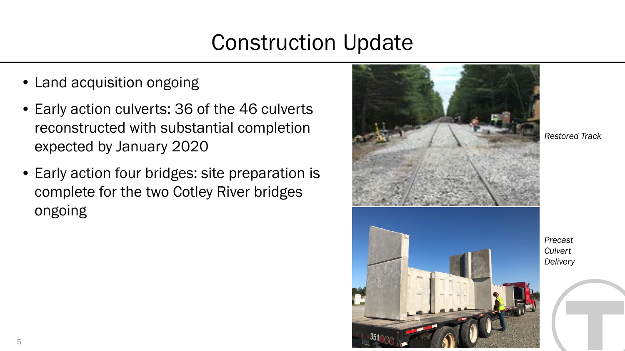# Construction Update

- Land acquisition ongoing
- Early action culverts: 36 of the 46 culverts reconstructed with substantial completion expected by January 2020
- Early action four bridges: site preparation is complete for the two Cotley River bridges ongoing



*Restored Track*

*Precast Culvert Delivery*